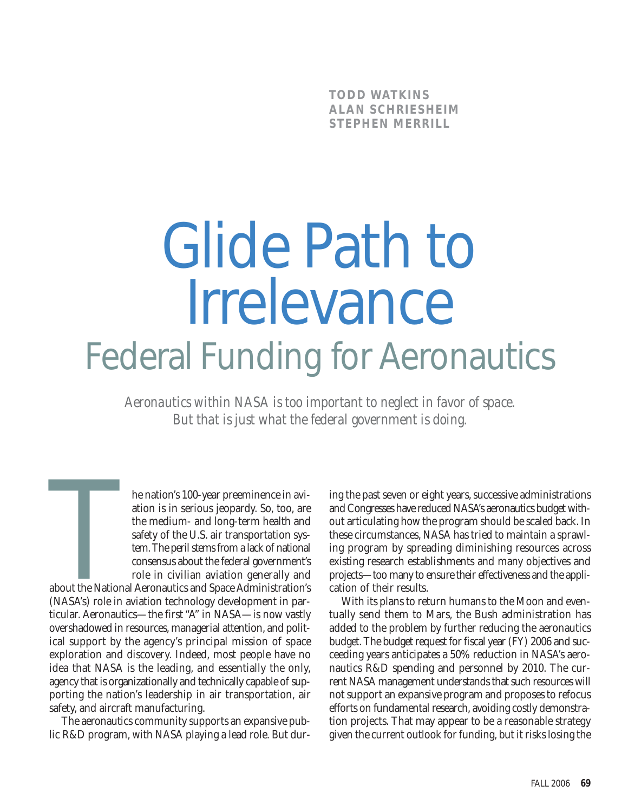**TODD WATKINS ALAN SCHRIESHEIM STEPHEN MERRILL**

# Glide Path to Irrelevance Federal Funding for Aeronautics

*Aeronautics within NASA is too important to neglect in favor of space. But that is just what the federal government is doing.*

The nation's 100-year preeminence in aviation is in serious jeopardy. So, too, are the medium- and long-term health and safety of the U.S. air transportation system. The peril stems from a lack of national consensus about ation is in serious jeopardy. So, too, are the medium- and long-term health and safety of the U.S. air transportation system. The peril stems from a lack of national consensus about the federal government's role in civilian aviation generally and

about the National Aeronautics and Space Administration's (NASA's) role in aviation technology development in particular. Aeronautics—the first "A" in NASA—is now vastly overshadowed in resources, managerial attention, and political support by the agency's principal mission of space exploration and discovery. Indeed, most people have no idea that NASA is the leading, and essentially the only, agency that is organizationally and technically capable of supporting the nation's leadership in air transportation, air safety, and aircraft manufacturing.

The aeronautics community supports an expansive public R&D program, with NASA playing a lead role. But during the past seven or eight years, successive administrations and Congresses have reduced NASA's aeronautics budget without articulating how the program should be scaled back. In these circumstances, NASA has tried to maintain a sprawling program by spreading diminishing resources across existing research establishments and many objectives and projects—too many to ensure their effectiveness and the application of their results.

With its plans to return humans to the Moon and eventually send them to Mars, the Bush administration has added to the problem by further reducing the aeronautics budget. The budget request for fiscal year (FY) 2006 and succeeding years anticipates a 50% reduction in NASA's aeronautics R&D spending and personnel by 2010. The current NASA management understands that such resources will not support an expansive program and proposes to refocus efforts on fundamental research, avoiding costly demonstration projects. That may appear to be a reasonable strategy given the current outlook for funding, but it risks losing the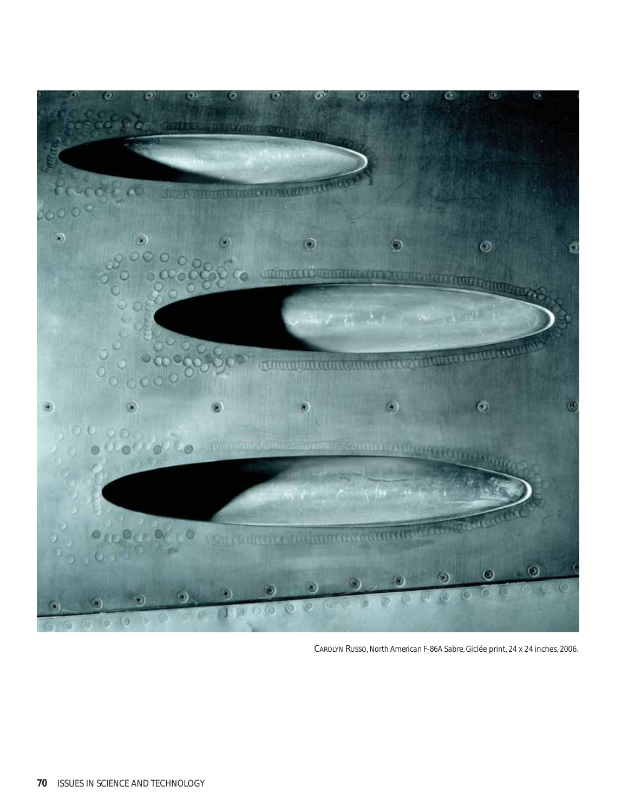

CAROLYN RUSSO, *North American F-86A Sabre*, Giclée print, 24 x 24 inches, 2006.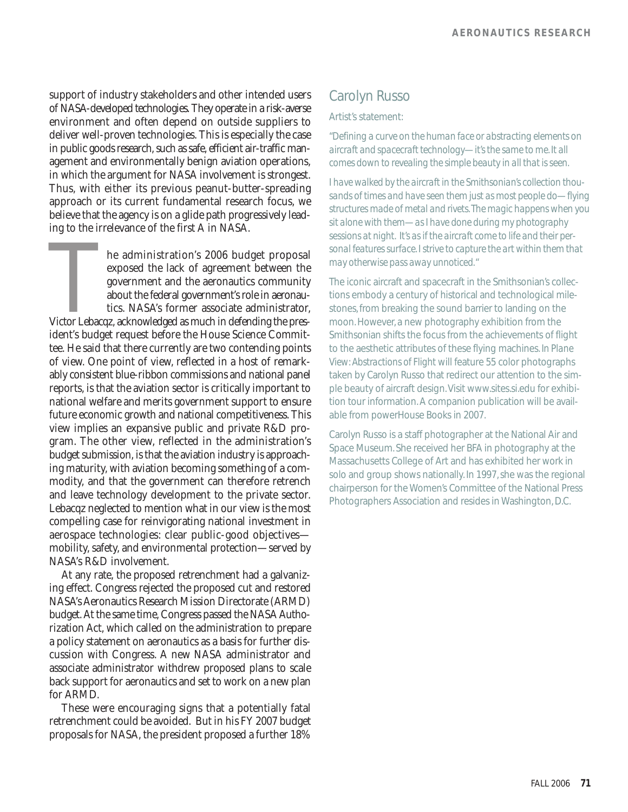support of industry stakeholders and other intended users of NASA-developed technologies. They operate in a risk-averse environment and often depend on outside suppliers to deliver well-proven technologies. This is especially the case in public goods research, such as safe, efficient air-traffic management and environmentally benign aviation operations, in which the argument for NASA involvement is strongest. Thus, with either its previous peanut-butter-spreading approach or its current fundamental research focus, we believe that the agency is on a glide path progressively leading to the irrelevance of the first A in NASA.

The administration's 2006 budget proposal<br>
exposed the lack of agreement between the<br>
government and the aeronautics community<br>
about the federal government's role in aeronau-<br>
tics. NASA's former associate administrator,<br> exposed the lack of agreement between the government and the aeronautics community about the federal government's role in aeronautics. NASA's former associate administrator, ident's budget request before the House Science Committee. He said that there currently are two contending points of view. One point of view, reflected in a host of remarkably consistent blue-ribbon commissions and national panel reports, is that the aviation sector is critically important to national welfare and merits government support to ensure future economic growth and national competitiveness. This view implies an expansive public and private R&D program. The other view, reflected in the administration's budget submission, is that the aviation industry is approaching maturity, with aviation becoming something of a commodity, and that the government can therefore retrench and leave technology development to the private sector. Lebacqz neglected to mention what in our view is the most compelling case for reinvigorating national investment in aerospace technologies: clear public-good objectives mobility, safety, and environmental protection—served by NASA's R&D involvement.

At any rate, the proposed retrenchment had a galvanizing effect. Congress rejected the proposed cut and restored NASA's Aeronautics Research Mission Directorate (ARMD) budget. At the same time, Congress passed the NASA Authorization Act, which called on the administration to prepare a policy statement on aeronautics as a basis for further discussion with Congress. A new NASA administrator and associate administrator withdrew proposed plans to scale back support for aeronautics and set to work on a new plan for ARMD.

These were encouraging signs that a potentially fatal retrenchment could be avoided. But in his FY 2007 budget proposals for NASA, the president proposed a further 18%

### Carolyn Russo

#### Artist's statement:

*"Defining a curve on the human face or abstracting elements on aircraft and spacecraft technology—it's the same to me. It all comes down to revealing the simple beauty in all that is seen.*

*I have walked by the aircraft in the Smithsonian's collection thousands of times and have seen them just as most people do—flying structures made of metal and rivets.The magic happens when you sit alone with them—as I have done during my photography sessions at night. It's as if the aircraft come to life and their personal features surface. I strive to capture the art within them that may otherwise pass away unnoticed."*

The iconic aircraft and spacecraft in the Smithsonian's collections embody a century of historical and technological milestones, from breaking the sound barrier to landing on the moon. However, a new photography exhibition from the Smithsonian shifts the focus from the achievements of flight to the aesthetic attributes of these flying machines. *In Plane View: Abstractions of Flight* will feature 55 color photographs taken by Carolyn Russo that redirect our attention to the simple beauty of aircraft design. Visit www.sites.si.edu for exhibition tour information. A companion publication will be available from powerHouse Books in 2007.

Carolyn Russo is a staff photographer at the National Air and Space Museum. She received her BFA in photography at the Massachusetts College of Art and has exhibited her work in solo and group shows nationally. In 1997, she was the regional chairperson for the Women's Committee of the National Press Photographers Association and resides in Washington, D.C.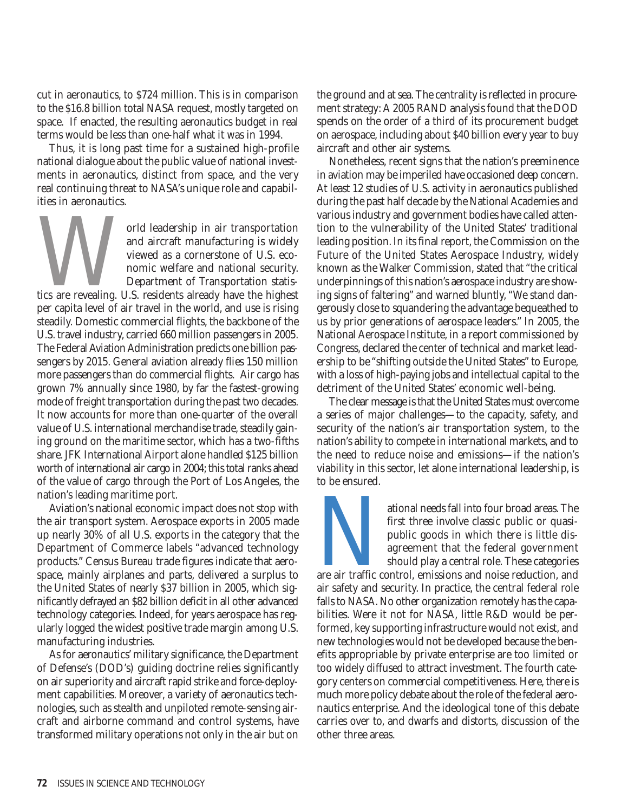cut in aeronautics, to \$724 million. This is in comparison to the \$16.8 billion total NASA request, mostly targeted on space. If enacted, the resulting aeronautics budget in real terms would be less than one-half what it was in 1994.

Thus, it is long past time for a sustained high-profile national dialogue about the public value of national investments in aeronautics, distinct from space, and the very real continuing threat to NASA's unique role and capabilities in aeronautics.

The Magnetics are revealing U.S. residents are and national security.<br>The main contract and national security.<br>Department of Transportation statistics are revealing. U.S. residents already have the highest<br>par capita layel and aircraft manufacturing is widely viewed as a cornerstone of U.S. economic welfare and national security. Department of Transportation statisper capita level of air travel in the world, and use is rising steadily. Domestic commercial flights, the backbone of the U.S. travel industry, carried 660 million passengers in 2005. The Federal Aviation Administration predicts one billion passengers by 2015. General aviation already flies 150 million more passengers than do commercial flights. Air cargo has grown 7% annually since 1980, by far the fastest-growing mode of freight transportation during the past two decades. It now accounts for more than one-quarter of the overall value of U.S. international merchandise trade, steadily gaining ground on the maritime sector, which has a two-fifths share. JFK International Airport alone handled \$125 billion worth of international air cargo in 2004; this total ranks ahead of the value of cargo through the Port of Los Angeles, the nation's leading maritime port.

Aviation's national economic impact does not stop with the air transport system. Aerospace exports in 2005 made up nearly 30% of all U.S. exports in the category that the Department of Commerce labels "advanced technology products." Census Bureau trade figures indicate that aerospace, mainly airplanes and parts, delivered a surplus to the United States of nearly \$37 billion in 2005, which significantly defrayed an \$82 billion deficit in all other advanced technology categories. Indeed, for years aerospace has regularly logged the widest positive trade margin among U.S. manufacturing industries.

As for aeronautics' military significance, the Department of Defense's (DOD's) guiding doctrine relies significantly on air superiority and aircraft rapid strike and force-deployment capabilities. Moreover, a variety of aeronautics technologies, such as stealth and unpiloted remote-sensing aircraft and airborne command and control systems, have transformed military operations not only in the air but on

the ground and at sea. The centrality is reflected in procurement strategy: A 2005 RAND analysis found that the DOD spends on the order of a third of its procurement budget on aerospace, including about \$40 billion every year to buy aircraft and other air systems.

Nonetheless, recent signs that the nation's preeminence in aviation may be imperiled have occasioned deep concern. At least 12 studies of U.S. activity in aeronautics published during the past half decade by the National Academies and various industry and government bodies have called attention to the vulnerability of the United States' traditional leading position. In its final report, the Commission on the Future of the United States Aerospace Industry, widely known as the Walker Commission, stated that "the critical underpinnings of this nation's aerospace industry are showing signs of faltering" and warned bluntly, "We stand dangerously close to squandering the advantage bequeathed to us by prior generations of aerospace leaders." In 2005, the National Aerospace Institute, in a report commissioned by Congress, declared the center of technical and market leadership to be "shifting outside the United States" to Europe, with a loss of high-paying jobs and intellectual capital to the detriment of the United States' economic well-being.

The clear message is that the United States must overcome a series of major challenges—to the capacity, safety, and security of the nation's air transportation system, to the nation's ability to compete in international markets, and to the need to reduce noise and emissions—if the nation's viability in this sector, let alone international leadership, is to be ensured.

ational needs fall into four broad areas. The<br>first three involve classic public or quasi-<br>public goods in which there is little dis-<br>agreement that the federal government<br>should play a central role. These categories<br>are a first three involve classic public or quasipublic goods in which there is little disagreement that the federal government should play a central role. These categories

air safety and security. In practice, the central federal role falls to NASA. No other organization remotely has the capabilities. Were it not for NASA, little R&D would be performed, key supporting infrastructure would not exist, and new technologies would not be developed because the benefits appropriable by private enterprise are too limited or too widely diffused to attract investment. The fourth category centers on commercial competitiveness. Here, there is much more policy debate about the role of the federal aeronautics enterprise. And the ideological tone of this debate carries over to, and dwarfs and distorts, discussion of the other three areas.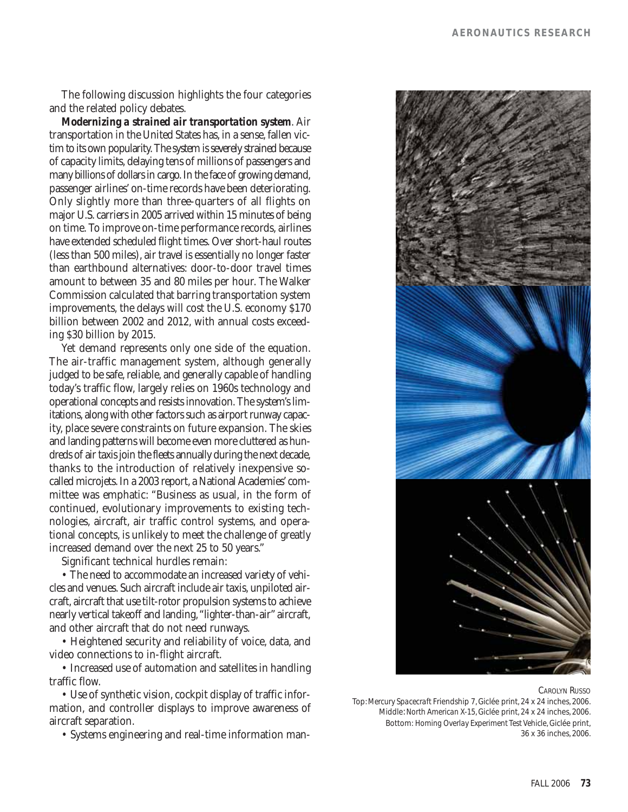The following discussion highlights the four categories and the related policy debates.

*Modernizing a strained air transportation system*. Air transportation in the United States has, in a sense, fallen victim to its own popularity. The system is severely strained because of capacity limits, delaying tens of millions of passengers and many billions of dollars in cargo. In the face of growing demand, passenger airlines' on-time records have been deteriorating. Only slightly more than three-quarters of all flights on major U.S. carriers in 2005 arrived within 15 minutes of being on time. To improve on-time performance records, airlines have extended scheduled flight times. Over short-haul routes (less than 500 miles), air travel is essentially no longer faster than earthbound alternatives: door-to-door travel times amount to between 35 and 80 miles per hour. The Walker Commission calculated that barring transportation system improvements, the delays will cost the U.S. economy \$170 billion between 2002 and 2012, with annual costs exceeding \$30 billion by 2015.

Yet demand represents only one side of the equation. The air-traffic management system, although generally judged to be safe, reliable, and generally capable of handling today's traffic flow, largely relies on 1960s technology and operational concepts and resists innovation. The system's limitations, along with other factors such as airport runway capacity, place severe constraints on future expansion. The skies and landing patterns will become even more cluttered as hundreds of air taxis join the fleets annually during the next decade, thanks to the introduction of relatively inexpensive socalled microjets. In a 2003 report, a National Academies' committee was emphatic: "Business as usual, in the form of continued, evolutionary improvements to existing technologies, aircraft, air traffic control systems, and operational concepts, is unlikely to meet the challenge of greatly increased demand over the next 25 to 50 years."

Significant technical hurdles remain:

• The need to accommodate an increased variety of vehicles and venues. Such aircraft include air taxis, unpiloted aircraft, aircraft that use tilt-rotor propulsion systems to achieve nearly vertical takeoff and landing,"lighter-than-air" aircraft, and other aircraft that do not need runways.

• Heightened security and reliability of voice, data, and video connections to in-flight aircraft.

• Increased use of automation and satellites in handling traffic flow.

• Use of synthetic vision, cockpit display of traffic information, and controller displays to improve awareness of aircraft separation.

• Systems engineering and real-time information man-

#### CAROLYN RUSSO

Top: *Mercury Spacecraft* Friendship 7, Giclée print, 24 x 24 inches, 2006. Middle: *North American X-15*, Giclée print, 24 x 24 inches, 2006. Bottom: *Homing Overlay Experiment Test Vehicle*, Giclée print, 36 x 36 inches, 2006.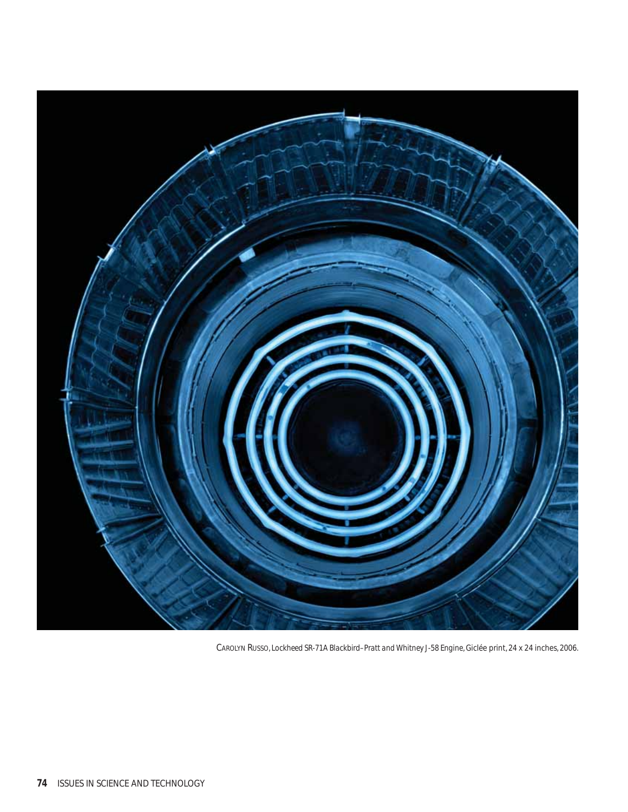

CAROLYN RUSSO, *Lockheed SR-71A Blackbird–Pratt and Whitney J-58 Engine*, Giclée print, 24 x 24 inches, 2006.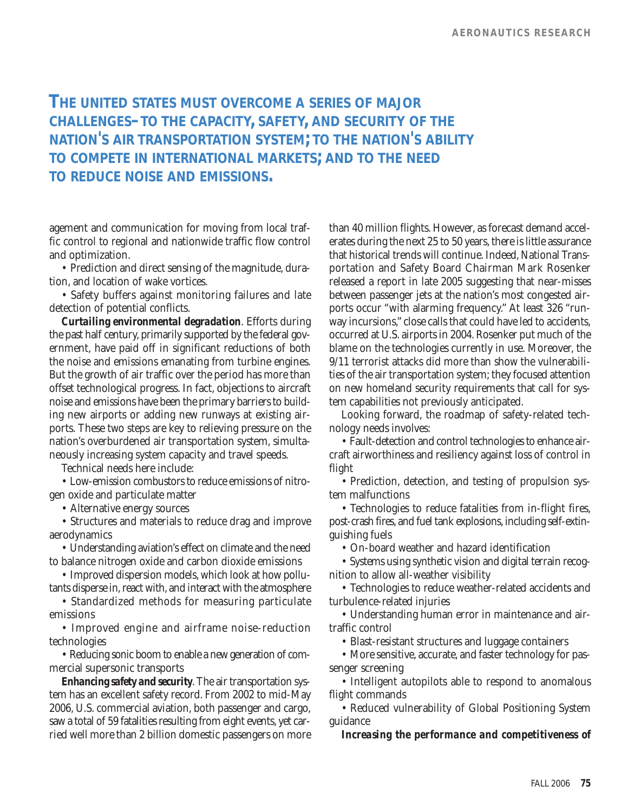## **THE UNITED STATES MUST OVERCOME A SERIES OF MAJOR CHALLENGES–TO THE CAPACITY, SAFETY, AND SECURITY OF THE NATION'S AIR TRANSPORTATION SYSTEM; TO THE NATION'S ABILITY TO COMPETE IN INTERNATIONAL MARKETS; AND TO THE NEED TO REDUCE NOISE AND EMISSIONS.**

agement and communication for moving from local traffic control to regional and nationwide traffic flow control and optimization.

• Prediction and direct sensing of the magnitude, duration, and location of wake vortices.

• Safety buffers against monitoring failures and late detection of potential conflicts.

*Curtailing environmental degradation*. Efforts during the past half century, primarily supported by the federal government, have paid off in significant reductions of both the noise and emissions emanating from turbine engines. But the growth of air traffic over the period has more than offset technological progress. In fact, objections to aircraft noise and emissions have been the primary barriers to building new airports or adding new runways at existing airports. These two steps are key to relieving pressure on the nation's overburdened air transportation system, simultaneously increasing system capacity and travel speeds.

Technical needs here include:

• Low-emission combustors to reduce emissions of nitrogen oxide and particulate matter

• Alternative energy sources

• Structures and materials to reduce drag and improve aerodynamics

• Understanding aviation's effect on climate and the need to balance nitrogen oxide and carbon dioxide emissions

• Improved dispersion models, which look at how pollutants disperse in, react with, and interact with the atmosphere

• Standardized methods for measuring particulate emissions

• Improved engine and airframe noise-reduction technologies

• Reducing sonic boom to enable a new generation of commercial supersonic transports

*Enhancing safety and security*. The air transportation system has an excellent safety record. From 2002 to mid-May 2006, U.S. commercial aviation, both passenger and cargo, saw a total of 59 fatalities resulting from eight events, yet carried well more than 2 billion domestic passengers on more

than 40 million flights. However, as forecast demand accelerates during the next 25 to 50 years, there is little assurance that historical trends will continue. Indeed, National Transportation and Safety Board Chairman Mark Rosenker released a report in late 2005 suggesting that near-misses between passenger jets at the nation's most congested airports occur "with alarming frequency." At least 326 "runway incursions," close calls that could have led to accidents, occurred at U.S. airports in 2004. Rosenker put much of the blame on the technologies currently in use. Moreover, the 9/11 terrorist attacks did more than show the vulnerabilities of the air transportation system; they focused attention on new homeland security requirements that call for system capabilities not previously anticipated.

Looking forward, the roadmap of safety-related technology needs involves:

• Fault-detection and control technologies to enhance aircraft airworthiness and resiliency against loss of control in flight

• Prediction, detection, and testing of propulsion system malfunctions

• Technologies to reduce fatalities from in-flight fires, post-crash fires, and fuel tank explosions, including self-extinguishing fuels

• On-board weather and hazard identification

• Systems using synthetic vision and digital terrain recognition to allow all-weather visibility

• Technologies to reduce weather-related accidents and turbulence-related injuries

• Understanding human error in maintenance and airtraffic control

• Blast-resistant structures and luggage containers

• More sensitive, accurate, and faster technology for passenger screening

• Intelligent autopilots able to respond to anomalous flight commands

• Reduced vulnerability of Global Positioning System guidance

*Increasing the performance and competitiveness of*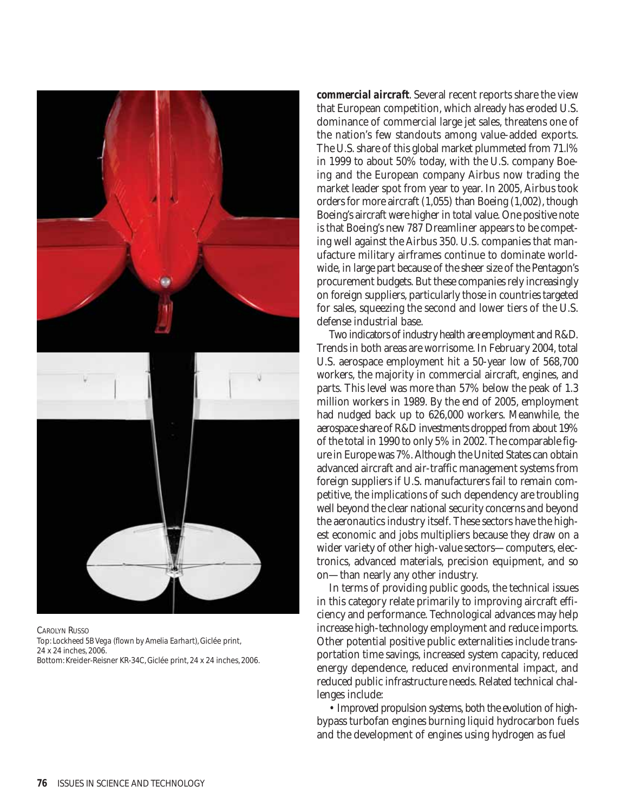

CAROLYN RUSSO Top: *Lockheed 5B Vega (flown by Amelia Earhart)*, Giclée print, 24 x 24 inches, 2006. Bottom: Kreider-Reisner KR-34C, Giclée print, 24 x 24 inches, 2006.

*commercial aircraft*. Several recent reports share the view that European competition, which already has eroded U.S. dominance of commercial large jet sales, threatens one of the nation's few standouts among value-added exports. The U.S. share of this global market plummeted from 71.l% in 1999 to about 50% today, with the U.S. company Boeing and the European company Airbus now trading the market leader spot from year to year. In 2005, Airbus took orders for more aircraft (1,055) than Boeing (1,002), though Boeing's aircraft were higher in total value. One positive note is that Boeing's new 787 Dreamliner appears to be competing well against the Airbus 350. U.S. companies that manufacture military airframes continue to dominate worldwide, in large part because of the sheer size of the Pentagon's procurement budgets. But these companies rely increasingly on foreign suppliers, particularly those in countries targeted for sales, squeezing the second and lower tiers of the U.S. defense industrial base.

Two indicators of industry health are employment and R&D. Trends in both areas are worrisome. In February 2004, total U.S. aerospace employment hit a 50-year low of 568,700 workers, the majority in commercial aircraft, engines, and parts. This level was more than 57% below the peak of 1.3 million workers in 1989. By the end of 2005, employment had nudged back up to 626,000 workers. Meanwhile, the aerospace share of R&D investments dropped from about 19% of the total in 1990 to only 5% in 2002. The comparable figure in Europe was 7%. Although the United States can obtain advanced aircraft and air-traffic management systems from foreign suppliers if U.S. manufacturers fail to remain competitive, the implications of such dependency are troubling well beyond the clear national security concerns and beyond the aeronautics industry itself. These sectors have the highest economic and jobs multipliers because they draw on a wider variety of other high-value sectors—computers, electronics, advanced materials, precision equipment, and so on—than nearly any other industry.

In terms of providing public goods, the technical issues in this category relate primarily to improving aircraft efficiency and performance. Technological advances may help increase high-technology employment and reduce imports. Other potential positive public externalities include transportation time savings, increased system capacity, reduced energy dependence, reduced environmental impact, and reduced public infrastructure needs. Related technical challenges include:

• Improved propulsion systems, both the evolution of highbypass turbofan engines burning liquid hydrocarbon fuels and the development of engines using hydrogen as fuel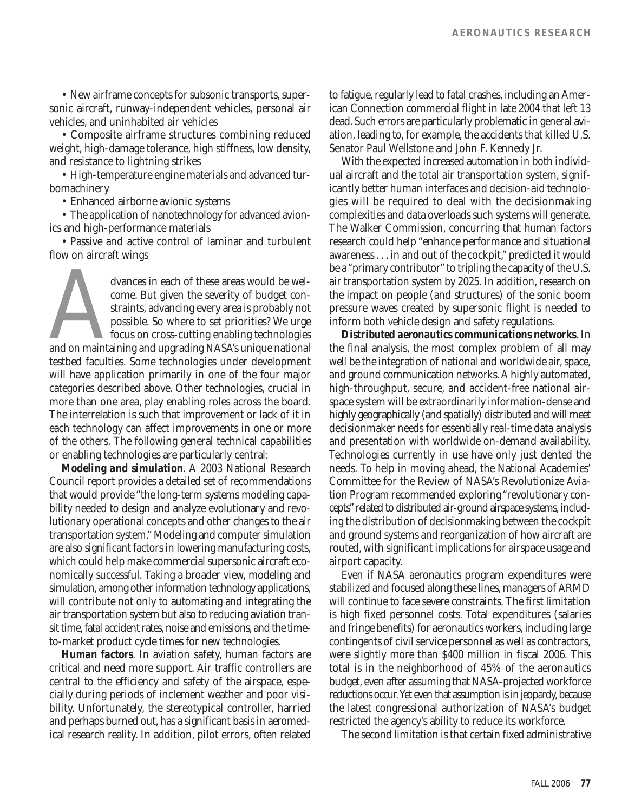• New airframe concepts for subsonic transports, supersonic aircraft, runway-independent vehicles, personal air vehicles, and uninhabited air vehicles

• Composite airframe structures combining reduced weight, high-damage tolerance, high stiffness, low density, and resistance to lightning strikes

• High-temperature engine materials and advanced turbomachinery

• Enhanced airborne avionic systems

• The application of nanotechnology for advanced avionics and high-performance materials

• Passive and active control of laminar and turbulent flow on aircraft wings

dvances in each of these areas would be wel-<br>
come. But given the severity of budget con-<br>
straints, advancing every area is probably not<br>
possible. So where to set priorities? We urge<br>
focus on cross-cutting enabling tech come. But given the severity of budget constraints, advancing every area is probably not possible. So where to set priorities? We urge focus on cross-cutting enabling technologies testbed faculties. Some technologies under development will have application primarily in one of the four major categories described above. Other technologies, crucial in more than one area, play enabling roles across the board. The interrelation is such that improvement or lack of it in each technology can affect improvements in one or more of the others. The following general technical capabilities or enabling technologies are particularly central:

*Modeling and simulation*. A 2003 National Research Council report provides a detailed set of recommendations that would provide "the long-term systems modeling capability needed to design and analyze evolutionary and revolutionary operational concepts and other changes to the air transportation system." Modeling and computer simulation are also significant factors in lowering manufacturing costs, which could help make commercial supersonic aircraft economically successful. Taking a broader view, modeling and simulation, among other information technology applications, will contribute not only to automating and integrating the air transportation system but also to reducing aviation transit time, fatal accident rates, noise and emissions, and the timeto-market product cycle times for new technologies.

*Human factors*. In aviation safety, human factors are critical and need more support. Air traffic controllers are central to the efficiency and safety of the airspace, especially during periods of inclement weather and poor visibility. Unfortunately, the stereotypical controller, harried and perhaps burned out, has a significant basis in aeromedical research reality. In addition, pilot errors, often related to fatigue, regularly lead to fatal crashes, including an American Connection commercial flight in late 2004 that left 13 dead. Such errors are particularly problematic in general aviation, leading to, for example, the accidents that killed U.S. Senator Paul Wellstone and John F. Kennedy Jr.

With the expected increased automation in both individual aircraft and the total air transportation system, significantly better human interfaces and decision-aid technologies will be required to deal with the decisionmaking complexities and data overloads such systems will generate. The Walker Commission, concurring that human factors research could help "enhance performance and situational awareness . . . in and out of the cockpit," predicted it would be a "primary contributor" to tripling the capacity of the U.S. air transportation system by 2025. In addition, research on the impact on people (and structures) of the sonic boom pressure waves created by supersonic flight is needed to inform both vehicle design and safety regulations.

*Distributed aeronautics communications networks*. In the final analysis, the most complex problem of all may well be the integration of national and worldwide air, space, and ground communication networks. A highly automated, high-throughput, secure, and accident-free national airspace system will be extraordinarily information-dense and highly geographically (and spatially) distributed and will meet decisionmaker needs for essentially real-time data analysis and presentation with worldwide on-demand availability. Technologies currently in use have only just dented the needs. To help in moving ahead, the National Academies' Committee for the Review of NASA's Revolutionize Aviation Program recommended exploring "revolutionary concepts"related to distributed air-ground airspace systems, including the distribution of decisionmaking between the cockpit and ground systems and reorganization of how aircraft are routed, with significant implications for airspace usage and airport capacity.

Even if NASA aeronautics program expenditures were stabilized and focused along these lines, managers of ARMD will continue to face severe constraints. The first limitation is high fixed personnel costs. Total expenditures (salaries and fringe benefits) for aeronautics workers, including large contingents of civil service personnel as well as contractors, were slightly more than \$400 million in fiscal 2006. This total is in the neighborhood of 45% of the aeronautics budget, even after assuming that NASA-projected workforce reductions occur. Yet even that assumption is in jeopardy, because the latest congressional authorization of NASA's budget restricted the agency's ability to reduce its workforce.

The second limitation is that certain fixed administrative